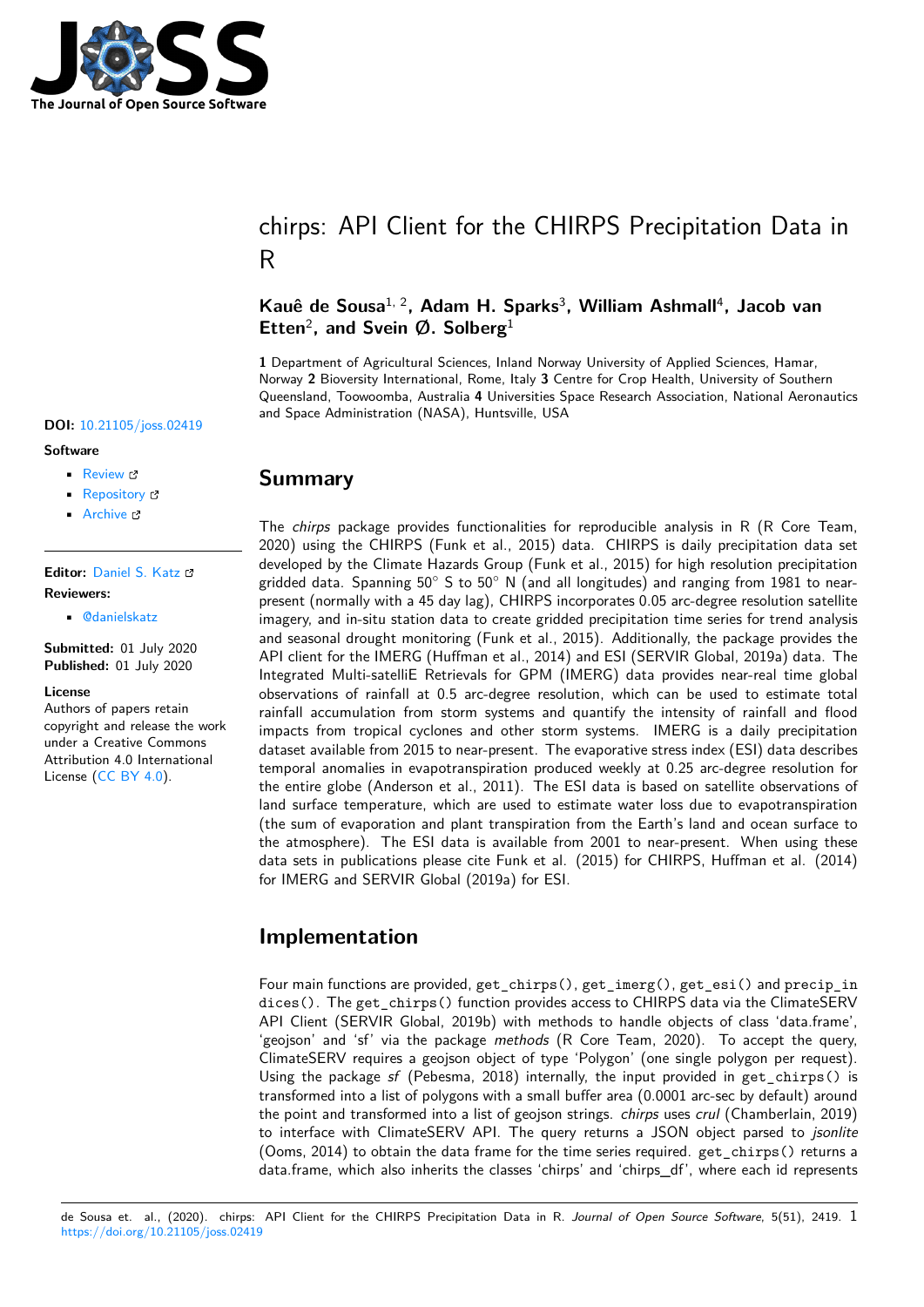

# chirps: API Client for the CHIRPS Precipitation Data in R

### **Kauê de Sousa**1, 2**, Adam H. Sparks**<sup>3</sup> **, William Ashmall**<sup>4</sup> **, Jacob van Etten**<sup>2</sup> **, and Svein Ø. Solberg**<sup>1</sup>

**1** Department of Agricultural Sciences, Inland Norway University of Applied Sciences, Hamar, Norway **2** Bioversity International, Rome, Italy **3** Centre for Crop Health, University of Southern Queensland, Toowoomba, Australia **4** Universities Space Research Association, National Aeronautics and Space Administration (NASA), Huntsville, USA

### **DOI:** 10.21105/joss.02419

#### **Software**

- Review &
- [Repository](https://doi.org/10.21105/joss.02419) &
- Archive

#### **Editor:** [Daniel S.](https://github.com/ropensci/chirps) Katz **Revie[wers:](https://doi.org/10.5281/zenodo.3925143)**

• @danielskatz

**Submitted:** [01 July 20](http://danielskatz.org/)20 **Published:** 01 July 2020

#### **Licen[se](https://github.com/danielskatz)**

Authors of papers retain copyright and release the work under a Creative Commons Attribution 4.0 International License (CC BY 4.0).

### **Summary**

The *chirps* package provides functionalities for reproducible analysis in R (R Core Team, 2020) using the CHIRPS (Funk et al., 2015) data. CHIRPS is daily precipitation data set developed by the Climate Hazards Group (Funk et al., 2015) for high resolution precipitation gridded data. Spanning 50*◦* S to 50*◦* N (and all longitudes) and ranging from 1981 to nearpresent (normally with a 45 day lag), CHIRPS incorporates 0.05 arc-degree resolution satellite imagery, and in-situ station data to create gridded precipitation time series for trend analysis and seasonal drought monitoring (Funk et al., 2015). Additionally, the package provides the API client for the IMERG (Huffman et al., 2014) and ESI (SERVIR Global, 2019a) data. The Integrated Multi-satelliE Retrievals for GPM (IMERG) data provides near-real time global observations of rainfall at 0.5 arc-degree resolution, which can be used to estimate total rainfall accumulation from storm systems and quantify the intensity of rainfall and flood impacts from tropical cyclones and other storm systems. IMERG is a daily precipitation dataset available from 2015 to near-present. The evaporative stress index (ESI) data describes temporal anomalies in evapotranspiration produced weekly at 0.25 arc-degree resolution for the entire globe (Anderson et al., 2011). The ESI data is based on satellite observations of land surface temperature, which are used to estimate water loss due to evapotranspiration (the sum of evaporation and plant transpiration from the Earth's land and ocean surface to the atmosphere). The ESI data is available from 2001 to near-present. When using these data sets in publications please cite Funk et al. (2015) for CHIRPS, Huffman et al. (2014) for IMERG and SERVIR Global (2019a) for ESI.

### **Implementation**

Four main functions are provided, get\_chirps(), get\_imerg(), get\_esi() and precip\_in dices(). The get\_chirps() function provides access to CHIRPS data via the ClimateSERV API Client (SERVIR Global, 2019b) with methods to handle objects of class 'data.frame', 'geojson' and 'sf' via the package *methods* (R Core Team, 2020). To accept the query, ClimateSERV requires a geojson object of type 'Polygon' (one single polygon per request). Using the package *sf* (Pebesma, 2018) internally, the input provided in get\_chirps() is transformed into a list of polygons with a small buffer area (0.0001 arc-sec by default) around the point and transformed into a list of geojson strings. *chirps* uses *crul* (Chamberlain, 2019) to interface with ClimateSERV API. The query returns a JSON object parsed to *jsonlite* (Ooms, 2014) to obtain the data frame for the time series required. get\_chirps() returns a data.frame, which also inherits the classes 'chirps' and 'chirps\_df', where each id represents

de Sousa et. al., (2020). chirps: API Client for the CHIRPS Precipitation Data in R. *Journal of Open Source Software*, 5(51), 2419. 1https://doi.org/10.21105/joss.02419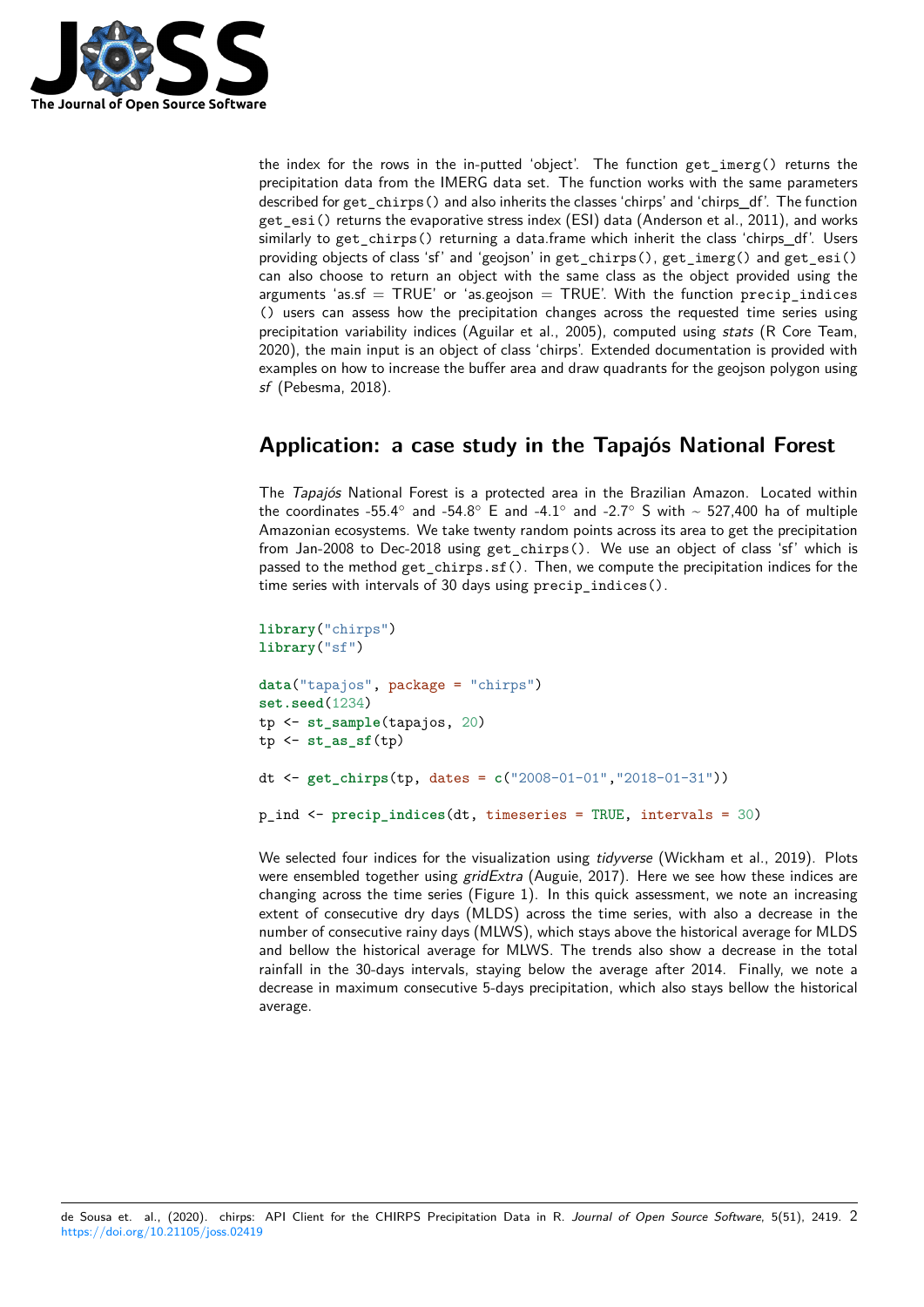

the index for the rows in the in-putted 'object'. The function get\_imerg() returns the precipitation data from the IMERG data set. The function works with the same parameters described for get\_chirps() and also inherits the classes 'chirps' and 'chirps\_df'. The function get esi() returns the evaporative stress index (ESI) data (Anderson et al., 2011), and works similarly to get\_chirps() returning a data.frame which inherit the class 'chirps\_df'. Users providing objects of class 'sf' and 'geojson' in get\_chirps(), get\_imerg() and get\_esi() can also choose to return an object with the same class as the object provided using the arguments 'as.sf  $=$  TRUE' or 'as.geojson  $=$  TRUE'. With the function precip\_indices () users can assess how the precipitation changes across the requested time series using precipitation variability indices (Aguilar et al., 2005), computed using *stats* (R Core Team, 2020), the main input is an object of class 'chirps'. Extended documentation is provided with examples on how to increase the buffer area and draw quadrants for the geojson polygon using *sf* (Pebesma, 2018).

## **Application: a case study in the Tapajós National Forest**

The *Tapajós* National Forest is a protected area in the Brazilian Amazon. Located within the coordinates -55.4*◦* and -54.8*◦* E and -4.1*◦* and -2.7*◦* S with ~ 527,400 ha of multiple Amazonian ecosystems. We take twenty random points across its area to get the precipitation from Jan-2008 to Dec-2018 using get\_chirps(). We use an object of class 'sf' which is passed to the method get\_chirps.sf(). Then, we compute the precipitation indices for the time series with intervals of 30 days using precip indices().

```
library("chirps")
library("sf")
data("tapajos", package = "chirps")
set.seed(1234)
tp <- st_sample(tapajos, 20)
tp <- st_as_sf(tp)
dt <- get_chirps(tp, dates = c("2008-01-01","2018-01-31"))
p_ind <- precip_indices(dt, timeseries = TRUE, intervals = 30)
```
We selected four indices for the visualization using *tidyverse* (Wickham et al., 2019). Plots were ensembled together using *gridExtra* (Auguie, 2017). Here we see how these indices are changing across the time series (Figure 1). In this quick assessment, we note an increasing extent of consecutive dry days (MLDS) across the time series, with also a decrease in the number of consecutive rainy days (MLWS), which stays above the historical average for MLDS and bellow the historical average for MLWS. The trends also show a decrease in the total rainfall in the 30-days intervals, staying below the average after 2014. Finally, we note a decrease in maximum consecutive 5-days precipitation, which also stays bellow the historical average.

de Sousa et. al., (2020). chirps: API Client for the CHIRPS Precipitation Data in R. *Journal of Open Source Software*, 5(51), 2419. 2https://doi.org/10.21105/joss.02419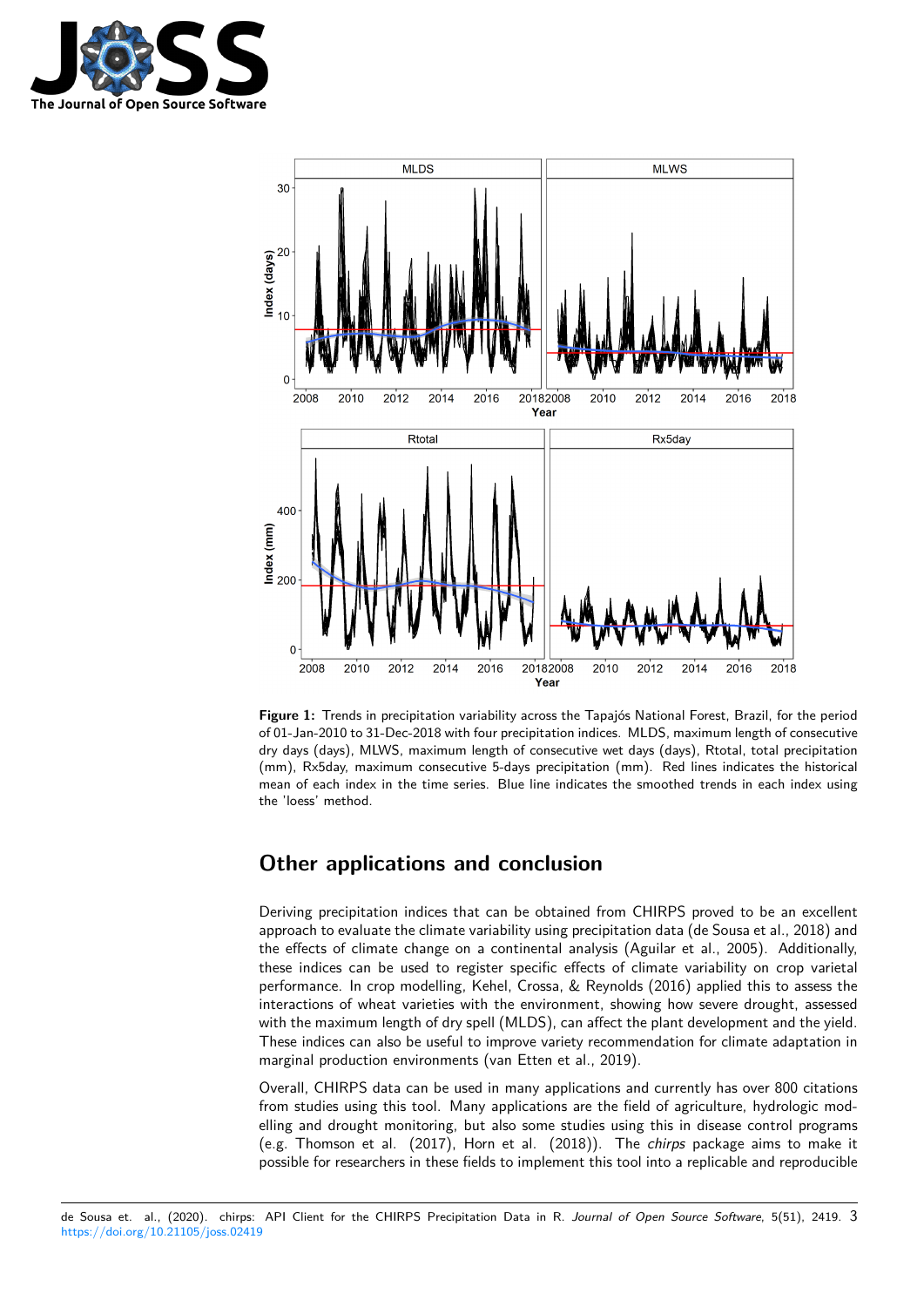



**Figure 1:** Trends in precipitation variability across the Tapajós National Forest, Brazil, for the period of 01-Jan-2010 to 31-Dec-2018 with four precipitation indices. MLDS, maximum length of consecutive dry days (days), MLWS, maximum length of consecutive wet days (days), Rtotal, total precipitation (mm), Rx5day, maximum consecutive 5-days precipitation (mm). Red lines indicates the historical mean of each index in the time series. Blue line indicates the smoothed trends in each index using the 'loess' method.

## **Other applications and conclusion**

Deriving precipitation indices that can be obtained from CHIRPS proved to be an excellent approach to evaluate the climate variability using precipitation data (de Sousa et al., 2018) and the effects of climate change on a continental analysis (Aguilar et al., 2005). Additionally, these indices can be used to register specific effects of climate variability on crop varietal performance. In crop modelling, Kehel, Crossa, & Reynolds (2016) applied this to assess the interactions of wheat varieties with the environment, showing how severe drought, assessed with the maximum length of dry spell (MLDS), can affect the plant development and the yield. These indices can also be useful to improve variety recommendation for climate adaptation in marginal production environments (van Etten et al., 2019).

Overall, CHIRPS data can be used in many applications and currently has over 800 citations from studies using this tool. Many applications are the field of agriculture, hydrologic modelling and drought monitoring, but also some studies using this in disease control programs (e.g. Thomson et al. (2017), Horn et al. (2018)). The *chirps* package aims to make it possible for researchers in these fields to implement this tool into a replicable and reproducible

de Sousa et. al., (2020). chirps: API Client for the CHIRPS Precipitation Data in R. *Journal of Open Source Software*, 5(51), 2419. 3https://doi.org/10.21105/joss.02419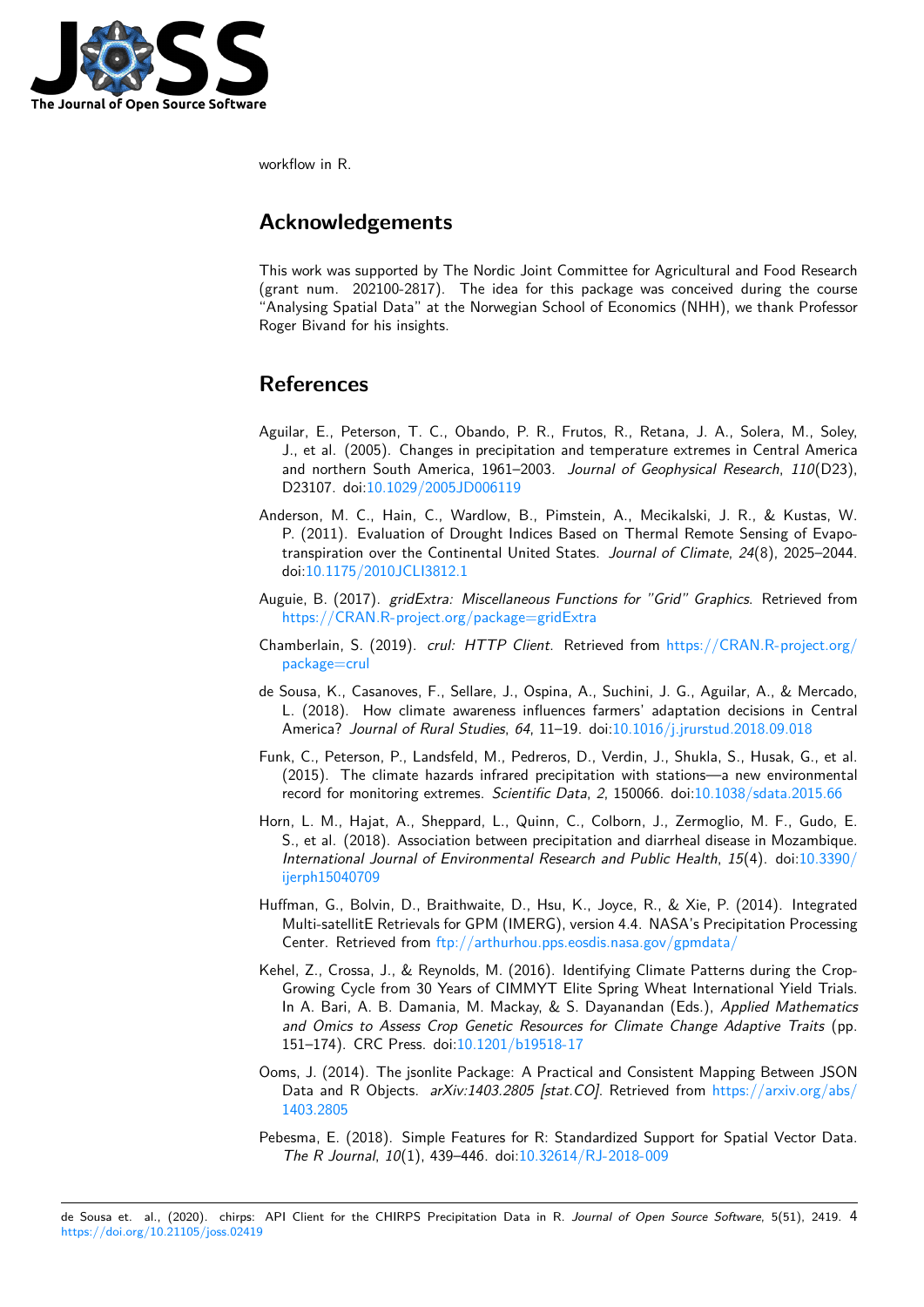

workflow in R.

## **Acknowledgements**

This work was supported by The Nordic Joint Committee for Agricultural and Food Research (grant num. 202100-2817). The idea for this package was conceived during the course "Analysing Spatial Data" at the Norwegian School of Economics (NHH), we thank Professor Roger Bivand for his insights.

## **References**

- Aguilar, E., Peterson, T. C., Obando, P. R., Frutos, R., Retana, J. A., Solera, M., Soley, J., et al. (2005). Changes in precipitation and temperature extremes in Central America and northern South America, 1961–2003. *Journal of Geophysical Research*, *110*(D23), D23107. doi:10.1029/2005JD006119
- Anderson, M. C., Hain, C., Wardlow, B., Pimstein, A., Mecikalski, J. R., & Kustas, W. P. (2011). Evaluation of Drought Indices Based on Thermal Remote Sensing of Evapotranspiration [over the Continental Un](https://doi.org/10.1029/2005JD006119)ited States. *Journal of Climate*, *24*(8), 2025–2044. doi:10.1175/2010JCLI3812.1
- Auguie, B. (2017). *gridExtra: Miscellaneous Functions for "Grid" Graphics*. Retrieved from https://CRAN.R-project.org/package=gridExtra
- Chamb[erlain, S. \(2019\).](https://doi.org/10.1175/2010JCLI3812.1) *crul: HTTP Client*. Retrieved from https://CRAN.R-project.org/ package=crul
- de [Sousa, K., Casanoves, F., Sellare, J., Ospina, A.,](https://CRAN.R-project.org/package=gridExtra) Suchini, J. G., Aguilar, A., & Mercado, L. (2018). How climate awareness influences farmers' adaptation decisions in Central [America?](https://CRAN.R-project.org/package=crul) *Journal of Rural Studies*, *64*, 11–19. doi:10.1016[/j.jrurstud.2018.09.018](https://CRAN.R-project.org/package=crul)
- Funk, C., Peterson, P., Landsfeld, M., Pedreros, D., Verdin, J., Shukla, S., Husak, G., et al. (2015). The climate hazards infrared precipitation with stations—a new environmental record for monitoring extremes. *Scientific Data*, *2*, [150066. doi:10.1038/sdata.201](https://doi.org/10.1016/j.jrurstud.2018.09.018)5.66
- Horn, L. M., Hajat, A., Sheppard, L., Quinn, C., Colborn, J., Zermoglio, M. F., Gudo, E. S., et al. (2018). Association between precipitation and diarrheal disease in Mozambique. *International Journal of Environmental Research and Public Health*, *15*[\(4\). doi:10.3390](https://doi.org/10.1038/sdata.2015.66)/ ijerph15040709
- Huffman, G., Bolvin, D., Braithwaite, D., Hsu, K., Joyce, R., & Xie, P. (2014). Integrated Multi-satellitE Retrievals for GPM (IMERG), version 4.4. NASA's Precipitation [Processing](https://doi.org/10.3390/ijerph15040709) [Center. Retriev](https://doi.org/10.3390/ijerph15040709)ed from ftp://arthurhou.pps.eosdis.nasa.gov/gpmdata/
- Kehel, Z., Crossa, J., & Reynolds, M. (2016). Identifying Climate Patterns during the Crop-Growing Cycle from 30 Years of CIMMYT Elite Spring Wheat International Yield Trials. In A. Bari, A. B. Damania, M. Mackay, & S. Dayanandan (Eds.), *Applied Mathematics and Omics to Assess [Crop Genetic Resources for Climate Change Ad](ftp://arthurhou.pps.eosdis.nasa.gov/gpmdata/)aptive Traits* (pp. 151–174). CRC Press. doi:10.1201/b19518-17
- Ooms, J. (2014). The jsonlite Package: A Practical and Consistent Mapping Between JSON Data and R Objects. *arXiv:1403.2805 [stat.CO]*. Retrieved from https://arxiv.org/abs/ 1403.2805
- Pebesma, E. (2018). Simple [Features for R: Stan](https://doi.org/10.1201/b19518-17)dardized Support for Spatial Vector Data. *The R Journal*, *10*(1), 439–446. doi:10.32614/RJ-2018-009